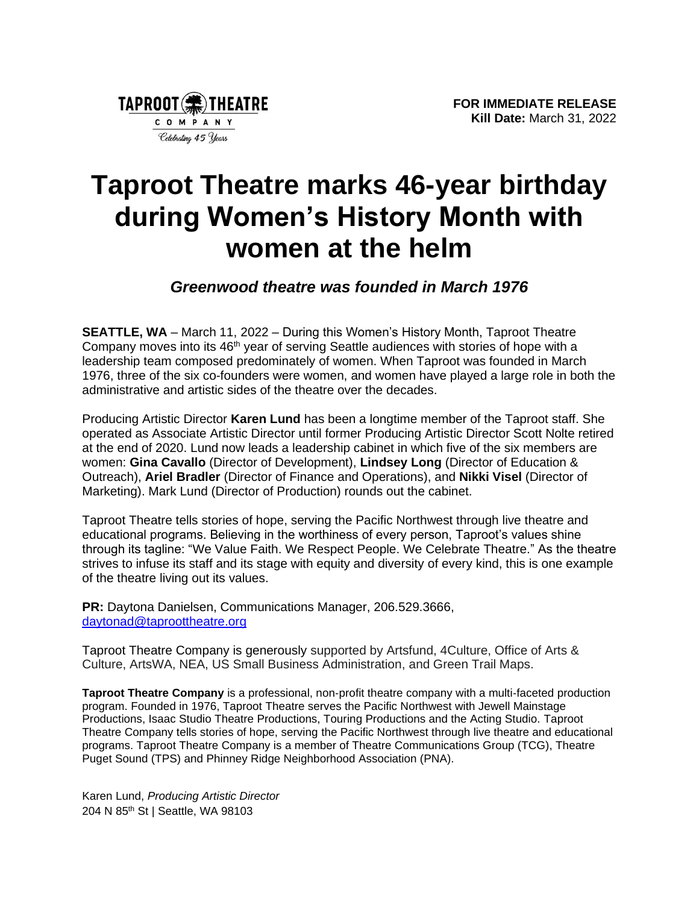

## **Taproot Theatre marks 46-year birthday during Women's History Month with women at the helm**

*Greenwood theatre was founded in March 1976* 

**SEATTLE, WA** – March 11, 2022 – During this Women's History Month, Taproot Theatre Company moves into its 46<sup>th</sup> year of serving Seattle audiences with stories of hope with a leadership team composed predominately of women. When Taproot was founded in March 1976, three of the six co-founders were women, and women have played a large role in both the administrative and artistic sides of the theatre over the decades.

Producing Artistic Director **Karen Lund** has been a longtime member of the Taproot staff. She operated as Associate Artistic Director until former Producing Artistic Director Scott Nolte retired at the end of 2020. Lund now leads a leadership cabinet in which five of the six members are women: **Gina Cavallo** (Director of Development), **Lindsey Long** (Director of Education & Outreach), **Ariel Bradler** (Director of Finance and Operations), and **Nikki Visel** (Director of Marketing). Mark Lund (Director of Production) rounds out the cabinet.

Taproot Theatre tells stories of hope, serving the Pacific Northwest through live theatre and educational programs. Believing in the worthiness of every person, Taproot's values shine through its tagline: "We Value Faith. We Respect People. We Celebrate Theatre." As the theatre strives to infuse its staff and its stage with equity and diversity of every kind, this is one example of the theatre living out its values.

**PR:** Daytona Danielsen, Communications Manager, 206.529.3666, [daytonad@taproottheatre.org](mailto:daytonad@taproottheatre.org)

Taproot Theatre Company is generously supported by Artsfund, 4Culture, Office of Arts & Culture, ArtsWA, NEA, US Small Business Administration, and Green Trail Maps.

**Taproot Theatre Company** is a professional, non-profit theatre company with a multi-faceted production program. Founded in 1976, Taproot Theatre serves the Pacific Northwest with Jewell Mainstage Productions, Isaac Studio Theatre Productions, Touring Productions and the Acting Studio. Taproot Theatre Company tells stories of hope, serving the Pacific Northwest through live theatre and educational programs. Taproot Theatre Company is a member of Theatre Communications Group (TCG), Theatre Puget Sound (TPS) and Phinney Ridge Neighborhood Association (PNA).

Karen Lund, *Producing Artistic Director* 204 N 85th St | Seattle, WA 98103